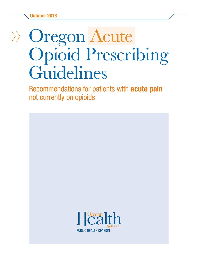# Oregon Acute Opioid Prescribing Guidelines

Recommendations for patients with acute pain not currently on opioids

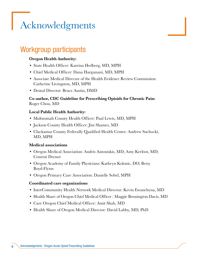## <span id="page-1-0"></span>Acknowledgments

## Workgroup participants

### Oregon Health Authority:

- State Health Officer: Katrina Hedberg, MD, MPH
- Chief Medical Officer: Dana Hargunani, MD, MPH
- Associate Medical Director of the Health Evidence Review Commission: Catherine Livingston, MD, MPH
- Dental Director: Bruce Austin, DMD

### Co-author, CDC Guideline for Prescribing Opioids for Chronic Pain: Roger Chou, MD

### Local Public Health Authority:

- Multnomah County Health Officer: Paul Lewis, MD, MPH
- Jackson County Health Officer: Jim Shames, MD
- Clackamas County Federally Qualified Health Center: Andrew Suchocki, MD, MPH

### Medical associations

- Oregon Medical Association: Andris Antoniskis, MD; Amy Kerfoot, MD; Courtni Dresser
- Oregon Academy of Family Physicians: Kathryn Kolonic, DO; Betsy Boyd-Flynn
- Oregon Primary Care Association: Danielle Sobel, MPH

### Coordinated care organizations

- InterCommunity Health Network Medical Director: Kevin Ewanchyna, MD
- Health Share of Oregon Chief Medical Officer : Maggie Bennington-Davis, MD
- Care Oregon Chief Medical Officer: Amit Shah, MD
- Health Share of Oregon Medical Director: David Labby, MD, PhD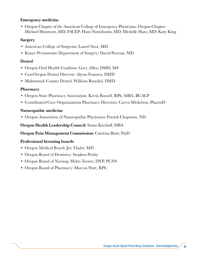### Emergency medicine

• Oregon Chapter of the American College of Emergency Physicians, Oregon Chapter: Michael Henstrom, MD, FACEP; Hans Notenboom, MD; Michelle Shaw, MD; Katy King

### Surgery

- American College of Surgeons: Laurel Soot, MD
- Kaiser Permanente Department of Surgery: David Parsons, MD

### Dental

- Oregon Oral Health Coalition: Gary Allen, DMD, MS
- CareOregon Dental Director: Alyssa Franzen, DMD
- Multnomah County Dental: William Runckel, DMD

### Pharmacy

- Oregon State Pharmacy Association: Kevin Russell, RPh, MBA, BCACP
- Coordinated Care Organizations Pharmacy Directors: Caryn Mickelson, PharmD

### Naturopathic medicine

• Oregon Association of Naturopathic Physicians: Patrick Chapman, ND

### Oregon Health Leadership Council: Susan Kirchoff, MBA

### Oregon Pain Management Commission: Catriona Buist, PsyD

### Professional licensing boards

- Oregon Medical Board: Joe Thaler, MD
- Oregon Board of Dentistry: Stephen Prisby
- Oregon Board of Nursing: Helen Turner, DNP, PCNS
- Oregon Board of Pharmacy: Marcus Watt, RPh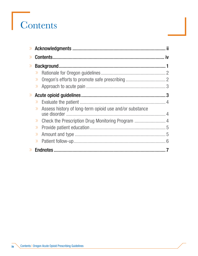# Contents

| $\gg$ |                                                                  |  |
|-------|------------------------------------------------------------------|--|
| $\gg$ |                                                                  |  |
|       | $\gg$                                                            |  |
|       | $\rangle$                                                        |  |
|       |                                                                  |  |
| $\gg$ |                                                                  |  |
|       | $\gg$                                                            |  |
|       | Assess history of long-term opioid use and/or substance<br>$\gg$ |  |
|       | $\left\langle \right\rangle$                                     |  |
|       | $\gg$                                                            |  |
|       | $\gg$                                                            |  |
|       | $\gg$                                                            |  |
|       |                                                                  |  |

iv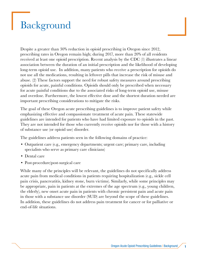## <span id="page-4-0"></span>Background

Despite a greater than 30% reduction in opioid prescribing in Oregon since 2012, prescribing rates in Oregon remain high; during 2017, more than 20% of all residents received at least one opioid prescription. Recent analysis by the CDC (1) illustrates a linear association between the duration of an initial prescription and the likelihood of developing long-term opioid use. In addition, many patients who receive a prescription for opioids do not use all the medications, resulting in leftover pills that increase the risk of misuse and abuse. (2) These factors support the need for robust safety measures around prescribing opioids for acute, painful conditions. Opioids should only be prescribed when necessary for acute painful conditions due to the associated risks of long-term opioid use, misuse and overdose. Furthermore, the lowest effective dose and the shortest duration needed are important prescribing considerations to mitigate the risks.

The goal of these Oregon acute prescribing guidelines is to improve patient safety while emphasizing effective and compassionate treatment of acute pain. These statewide guidelines are intended for patients who have had limited exposure to opioids in the past. They are not intended for those who currently receive opioids nor for those with a history of substance use (or opioid use) disorder.

The guidelines address patients seen in the following domains of practice:

- Outpatient care (e.g., emergency departments; urgent care; primary care, including specialists who serve as primary care clinicians)
- Dental care
- Post-procedure/post-surgical care

While many of the principles will be relevant, the guidelines do not specifically address acute pain from medical conditions in patients requiring hospitalization (e.g., sickle cell pain crisis, pancreatitis, kidney stone, burn victims). Similarly, while some principles may be appropriate, pain in patients at the extremes of the age spectrum (e.g., young children, the elderly), new onset acute pain in patients with chronic persistent pain and acute pain in those with a substance use disorder (SUD) are beyond the scope of these guidelines. In addition, these guidelines do not address pain treatment for cancer or for palliative or end-of-life situations.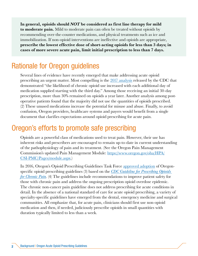<span id="page-5-0"></span>In general, opioids should NOT be considered as first line therapy for mild **to moderate pain.** Mild to moderate pain can often be treated without opioids by recommending over-the-counter medications, and physical treatments such as ice and immobilization. If non-opioid interventions are ineffective and opioids are appropriate, prescribe the lowest effective dose of short-acting opioids for less than 3 days; in cases of more severe acute pain, limit initial prescription to less than 7 days.

### Rationale for Oregon guidelines

Several lines of evidence have recently emerged that make addressing acute opioid prescribing an urgent matter. Most compelling is the [2017 analysis](https://www.cdc.gov/mmwr/volumes/66/wr/mm6610a1.htm) released by the CDC that demonstrated "the likelihood of chronic opioid use increased with each additional day of medication supplied starting with the third day." Among those receiving an initial 30-day prescription, more than 30% remained on opioids a year later. Another analysis among postoperative patients found that the majority did not use the quantities of opioids prescribed. (2) These unused medications increase the potential for misuse and abuse. Finally, to avoid confusion, Oregon providers, healthcare systems and payers would benefit from a single document that clarifies expectations around opioid prescribing for acute pain.

## Oregon's efforts to promote safe prescribing

Opioids are a powerful class of medications used to treat pain. However, their use has inherent risks and prescribers are encouraged to remain up-to-date in current understanding of the pathophysiology of pain and its treatment. (See the Oregon Pain Management Commission's updated Pain Management Module: [https://www.oregon.gov/oha/HPA/](https://www.oregon.gov/oha/HPA/CSI-PMC/Pages/module.aspx) [CSI-PMC/Pages/module.aspx.](https://www.oregon.gov/oha/HPA/CSI-PMC/Pages/module.aspx))

In 2016, Oregon's Opioid Prescribing Guidelines Task Force [approved adoption](https://www.oregon.gov/oha/ERD/Pages/New-Opioid-Prescribing-Guidelines.aspx) of Oregonspecific opioid prescribing guidelines (3) based on the *[CDC Guideline for Prescribing Opioids](https://www.cdc.gov/mmwr/volumes/65/rr/rr6501e1er.htm)  [for Chronic Pain.](https://www.cdc.gov/mmwr/volumes/65/rr/rr6501e1er.htm)* (4) The guidelines include recommendations to improve patient safety for those with chronic pain and address the ongoing prescription opioid overdose epidemic. The chronic non-cancer pain guideline does not address prescribing for acute conditions in detail. In the absence of a national standard of care for acute opioid prescribing, a variety of specialty-specific guidelines have emerged from the dental, emergency medicine and surgical communities. All emphasize that, for acute pain, clinicians should first use non-opioid medication and then, if needed, judiciously prescribe opioids in small quantities with duration typically limited to less than a week.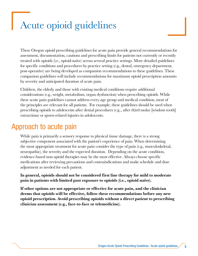## <span id="page-6-0"></span>Acute opioid guidelines

These Oregon opioid prescribing guidelines for acute pain provide general recommendations for assessment, documentation, cautions and prescribing limits for patients not currently or recently treated with opioids (i.e., opioid-naïve) across several practice settings. More detailed guidelines for specific conditions and procedures by practice setting (e.g., dental, emergency department, post-operative) are being developed as companion recommendations to these guidelines. These companion guidelines will include recommendations for maximum opioid prescription amounts by severity and anticipated duration of acute pain.

Children, the elderly and those with existing medical conditions require additional considerations (e.g., weight, metabolism, organ dysfunction) when prescribing opioids. While these acute pain guidelines cannot address every age group and medical condition, most of the principles are relevant for all patients. For example, these guidelines should be used when prescribing opioids to adolescents after dental procedures (e.g.., after third molar [wisdom tooth] extractions) or sports-related injuries in adolescents.

### Approach to acute pain

While pain is primarily a sensory response to physical tissue damage, there is a strong subjective component associated with the patient's experience of pain. When determining the most appropriate treatment for acute pain consider the type of pain (e.g., musculoskeletal, neuropathic), the severity and the expected duration. Depending on the acute condition, evidence-based non-opioid therapies may be the most effective. Always choose specific medications after reviewing precautions and contraindications and make schedule and dose adjustment as needed for each patient.

In general, opioids should not be considered first line therapy for mild to moderate pain in patients with limited past exposure to opioids (i.e., opioid naïve).

If other options are not appropriate or effective for acute pain, and the clinician deems that opioids will be effective, follow these recommendations before any new opioid prescription. Avoid prescribing opioids without a direct patient to prescribing clinician assessment (e.g., face-to-face or telemedicine).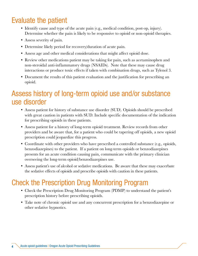## <span id="page-7-0"></span>Evaluate the patient

- Identify cause and type of the acute pain (e.g., medical condition, post-op, injury). Determine whether the pain is likely to be responsive to opioid or non-opioid therapies.
- Assess severity of pain.
- Determine likely period for recovery/duration of acute pain.
- Assess age and other medical considerations that might affect opioid dose.
- Review other medications patient may be taking for pain, such as acetaminophen and non-steroidal anti-inflammatory drugs (NSAIDs). Note that these may cause drug interactions or produce toxic effects if taken with combination drugs, such as Tylenol 3.
- Document the results of this patient evaluation and the justification for prescribing an opioid.

## Assess history of long-term opioid use and/or substance use disorder

- Assess patient for history of substance use disorder (SUD). Opioids should be prescribed with great caution in patients with SUD. Include specific documentation of the indication for prescribing opioids in these patients.
- Assess patient for a history of long-term opioid treatment. Review records from other providers and be aware that, for a patient who could be tapering off opioids, a new opioid prescription could jeopardize this progress.
- Coordinate with other providers who have prescribed a controlled substance (e.g., opioids, benzodiazepines) to the patient. If a patient on long-term opioids or benzodiazepines presents for an acute condition causing pain, communicate with the primary clinician overseeing the long-term opioid/benzodiazepines use.
- Assess patient's use of alcohol or sedative medications. Be aware that these may exacerbate the sedative effects of opioids and prescribe opioids with caution in these patients.

## Check the Prescription Drug Monitoring Program

- Check the Prescription Drug Monitoring Program (PDMP) to understand the patient's prescription history before prescribing opioids.
- Take note of chronic opioid use and any concurrent prescription for a benzodiazepine or other sedative hypnotics.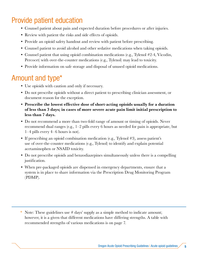## <span id="page-8-0"></span>Provide patient education

- Counsel patient about pain and expected duration before procedures or after injuries.
- Review with patient the risks and side effects of opioids.
- Provide an opioid safety handout and review with patient before prescribing.
- Counsel patient to avoid alcohol and other sedative medications when taking opioids.
- Counsel patient that using opioid combination medications (e.g., Tylenol #2-4, Vicodin, Percocet) with over-the-counter medications (e.g., Tylenol) may lead to toxicity.
- Provide information on safe storage and disposal of unused opioid medications.

## Amount and type\*

- Use opioids with caution and only if necessary.
- Do not prescribe opioids without a direct patient to prescribing clinician assessment, or document reason for the exception.
- Prescribe the lowest effective dose of short-acting opioids usually for a duration of less than 3 days; in cases of more severe acute pain limit initial prescription to less than 7 days.
- Do not recommend a more than two-fold range of amount or timing of opioids. Never recommend dual ranges (e.g., 1–2 pills every 6 hours as needed for pain is appropriate, but 1–4 pills every 4–6 hours is not).
- If prescribing an opioid combination medication (e.g., Tylenol #3), assess patient's use of over-the-counter medications (e.g., Tylenol) to identify and explain potential acetaminophen or NSAID toxicity.
- Do not prescribe opioids and benzodiazepines simultaneously unless there is a compelling justification.
- When pre-packaged opioids are dispensed in emergency departments, ensure that a system is in place to share information via the Prescription Drug Monitoring Program (PDMP).

\* Note: These guidelines use # days' supply as a simple method to indicate amount; however, it is a given that different medications have differing strengths. A table with recommended strengths of various medications is on page 7.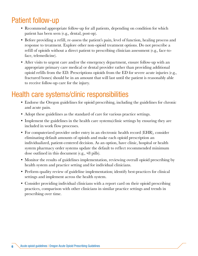## <span id="page-9-0"></span>Patient follow-up

- Recommend appropriate follow-up for all patients, depending on condition for which patient has been seen (e.g., dental, post-op).
- Before providing a refill, re-assess the patient's pain, level of function, healing process and response to treatment. Explore other non-opioid treatment options. Do not prescribe a refill of opioids without a direct patient to prescribing clinician assessment (e.g., face-toface, telemedicine).
- After visits to urgent care and/or the emergency department, ensure follow-up with an appropriate primary care medical or dental provider rather than providing additional opioid refills from the ED. Prescriptions opioids from the ED for severe acute injuries (e.g., fractured bones) should be in an amount that will last until the patient is reasonably able to receive follow-up care for the injury.

## Health care systems/clinic responsibilities

- Endorse the Oregon guidelines for opioid prescribing, including the guidelines for chronic and acute pain.
- Adopt these guidelines as the standard of care for various practice settings.
- Implement the guidelines in the health care systems/clinic settings by ensuring they are included in work flow processes.
- For computerized provider order entry in an electronic health record (EHR), consider eliminating default amounts of opioids and make each opioid prescription an individualized, patient-centered decision. As an option, have clinic, hospital or health system pharmacy order systems update the default to reflect recommended minimum dose outlined in this document (e.g., <8 pills).
- Monitor the results of guidelines implementation, reviewing overall opioid prescribing by health system and practice setting and for individual clinicians.
- Perform quality review of guideline implementation; identify best-practices for clinical settings and implement across the health system.
- Consider providing individual clinicians with a report card on their opioid prescribing practices, comparison with other clinicians in similar practice settings and trends in prescribing over time.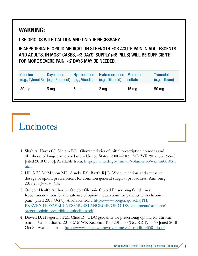### <span id="page-10-0"></span>WARNING:

USE OPIOIDS WITH CAUTION AND ONLY IF NECESSARY.

IF APPROPRIATE: OPIOID MEDICATION STRENGTH FOR ACUTE PAIN IN ADOLESCENTS AND ADULTS. IN MOST CASES, <3 DAYS' SUPPLY (<8 PILLS) WILL BE SUFFICIENT; FOR MORE SEVERE PAIN, <7 DAYS MAY BE NEEDED.

| <b>Codeine</b>   | Oxycodone<br>$(e.g., Tylenol 3)$ $(e.g., Percocet)$ $e.g., Vicodin)$ | Hydrocodone     | Hydromorphone Morphine<br>(e.g., Dilaudid) | sulfate         | <b>Tramadol</b><br>(e.g., Ultram) |
|------------------|----------------------------------------------------------------------|-----------------|--------------------------------------------|-----------------|-----------------------------------|
| 30 <sub>mg</sub> | 5 <sub>mg</sub>                                                      | 5 <sub>mg</sub> | $2 \, \text{mg}$                           | $15 \text{ mg}$ | 50 mg                             |
|                  |                                                                      |                 |                                            |                 |                                   |

## Endnotes

- 1. Shah A, Hayes CJ, Martin BC. Characteristics of initial prescription episodes and likelihood of long-term opioid use – United States, 2006–2015. MMWR 2017; 66: 265–9 [cited 2018 Oct 8]. Available from: [https://www.cdc.gov/mmwr/volumes/66/wr/mm6610a1.](https://www.cdc.gov/mmwr/volumes/66/wr/mm6610a1.htm) [htm.](https://www.cdc.gov/mmwr/volumes/66/wr/mm6610a1.htm)
- 2. Hill MV, McMahon ML, Stucke RS, Barth RJ Jr. Wide variation and excessive dosage of opioid prescriptions for common general surgical procedures. Ann Surg. 2017;265(4):709–714.
- 3. Oregon Health Authority. Oregon Chronic Opioid Prescribing Guidelines: Recommendations for the safe use of opioid medications for patients with chronic pain [cited 2018 Oct 8]. Available from: [https://www.oregon.gov/oha/PH/](https://www.oregon.gov/oha/PH/PREVENTIONWELLNESS/SUBSTANCEUSE/OPIOIDS/Documents/taskforce/oregon-opioid-prescribing-guidelines.pdf) [PREVENTIONWELLNESS/SUBSTANCEUSE/OPIOIDS/Documents/taskforce/](https://www.oregon.gov/oha/PH/PREVENTIONWELLNESS/SUBSTANCEUSE/OPIOIDS/Documents/taskforce/oregon-opioid-prescribing-guidelines.pdf) [oregon-opioid-prescribing-guidelines.pdf.](https://www.oregon.gov/oha/PH/PREVENTIONWELLNESS/SUBSTANCEUSE/OPIOIDS/Documents/taskforce/oregon-opioid-prescribing-guidelines.pdf)
- 4. Dowell D, Haegerich TM, Chou R. CDC guideline for prescribing opioids for chronic pain — United States, 2016. MMWR Recomm Rep 2016; 65 (No. RR-1): 1–49 [cited 2018 Oct 8]. Available from: [https://www.cdc.gov/mmwr/volumes/65/rr/pdfs/rr6501e1.pdf.](https://www.cdc.gov/mmwr/volumes/65/rr/pdfs/rr6501e1.pdf)